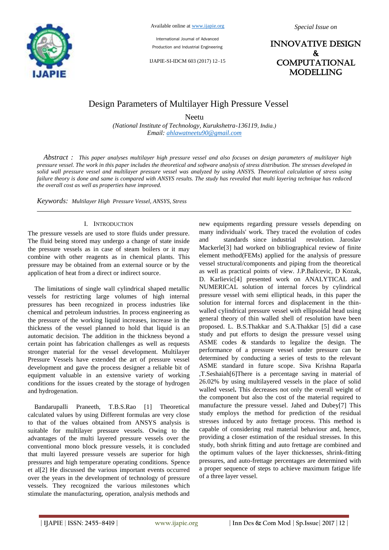

International Journal of Advanced Production and Industrial Engineering

IJAPIE-SI-IDCM 603 (2017) 12–15

INNOVATIVE DESIGN & **COMPUTATIONAL** MODELLING

# Design Parameters of Multilayer High Pressure Vessel

Neetu

*(National Institute of Technology, Kurukshetra-136119, India.) Email: ahlawatneetu90@gmail.com*

*Abstract : This paper analyses multilayer high pressure vessel and also focuses on design parameters of multilayer high pressure vessel. The work in this paper includes the theoretical and software analysis of stress distribution. The stresses developed in solid wall pressure vessel and multilayer pressure vessel was analyzed by using ANSYS. Theoretical calculation of stress using*  failure theory is done and same is compared with ANSYS results. The study has revealed that multi layering technique has reduced *the overall cost as well as properties have improved.*

*Keywords: Multilayer High Pressure Vessel, ANSYS, Stress*

#### I. INTRODUCTION

The pressure vessels are used to store fluids under pressure. The fluid being stored may undergo a change of state inside the pressure vessels as in case of steam boilers or it may combine with other reagents as in chemical plants. This pressure may be obtained from an external source or by the application of heat from a direct or indirect source.

The limitations of single wall cylindrical shaped metallic vessels for restricting large volumes of high internal pressures has been recognized in process industries like chemical and petroleum industries. In process engineering as the pressure of the working liquid increases, increase in the thickness of the vessel planned to hold that liquid is an automatic decision. The addition in the thickness beyond a certain point has fabrication challenges as well as requests stronger material for the vessel development. Multilayer Pressure Vessels have extended the art of pressure vessel development and gave the process designer a reliable bit of equipment valuable in an extensive variety of working conditions for the issues created by the storage of hydrogen and hydrogenation.

Bandarupalli Praneeth, T.B.S.Rao [1] Theoretical calculated values by using Different formulas are very close to that of the values obtained from ANSYS analysis is suitable for multilayer pressure vessels. Owing to the advantages of the multi layered pressure vessels over the conventional mono block pressure vessels, it is concluded that multi layered pressure vessels are superior for high pressures and high temperature operating conditions. Spence et al[2] He discussed the various important events occurred over the years in the development of technology of pressure vessels. They recognized the various milestones which stimulate the manufacturing, operation, analysis methods and new equipments regarding pressure vessels depending on many individuals' work. They traced the evolution of codes and standards since industrial revolution. Jaroslav Mackerle[3] had worked on bibliographical review of finite element method(FEMs) applied for the analysis of pressure vessel structural/components and piping from the theoretical as well as practical points of view. J.P.Balicevic, D Kozak, D. Karlievic[4] presented work on ANALYTICAL and NUMERICAL solution of internal forces by cylindrical pressure vessel with semi elliptical heads, in this paper the solution for internal forces and displacement in the thinwalled cylindrical pressure vessel with ellipsoidal head using general theory of thin walled shell of resolution have been proposed. L. B.S.Thakkar and S.A.Thakkar [5] did a case study and put efforts to design the pressure vessel using ASME codes & standards to legalize the design. The performance of a pressure vessel under pressure can be determined by conducting a series of tests to the relevant ASME standard in future scope. Siva Krishna Raparla ,T.Seshaiah[6]There is a percentage saving in material of 26.02% by using multilayered vessels in the place of solid walled vessel**.** This decreases not only the overall weight of the component but also the cost of the material required to manufacture the pressure vessel. Jahed and Dubey[7] This study employs the method for prediction of the residual stresses induced by auto frettage process. This method is capable of considering real material behaviour and, hence, providing a closer estimation of the residual stresses. In this study, both shrink fitting and auto frettage are combined and the optimum values of the layer thicknesses, shrink-fitting pressures, and auto-frettage percentages are determined with a proper sequence of steps to achieve maximum fatigue life of a three layer vessel.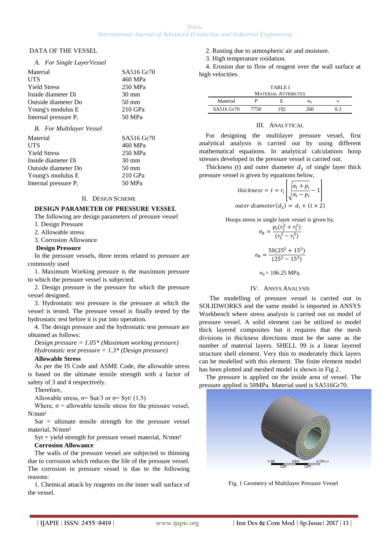## DATA OF THE VESSEL

*A. For Single LayerVessel*

| Material                         | SA516 Gr70      |
|----------------------------------|-----------------|
| <b>UTS</b>                       | 460 MPa         |
| <b>Yield Stress</b>              | 250 MPa         |
| Inside diameter Di               | $30 \text{ mm}$ |
| Outside diameter Do              | $50 \text{ mm}$ |
| Young's modulus E                | 210 GPa         |
| Internal pressure P <sub>i</sub> | 50 MPa          |

| SA516 Gr70      |
|-----------------|
| 460 MPa         |
| 250 MPa         |
| $30 \text{ mm}$ |
| $50 \text{ mm}$ |
| 210 GPa         |
| 50 MPa          |
|                 |

## II. DESIGN SCHEME

### **DESIGN PARAMETER OF PRESSURE VESSEL**

The following are design parameters of pressure vessel

- 1. Design Pressure
- 2. Allowable stress
- 3. Corrosion Allowance

## **Design Pressure**

In the pressure vessels, three terms related to pressure are commonly used

1. Maximum Working pressure is the maximum pressure to which the pressure vessel is subjected.

2. Design pressure is the pressure for which the pressure vessel designed.

3. Hydrostatic test pressure is the pressure at which the vessel is tested. The pressure vessel is finally tested by the hydrostatic test before it is put into operation.

4. The design pressure and the hydrostatic test pressure are obtained as follows:

*Design pressure = 1.05\* (Maximum working pressure) Hydrostatic test pressure = 1.3\* (Design pressure)*

## **Allowable Stress**

As per the IS Code and ASME Code, the allowable stress is based on the ultimate tensile strength with a factor of safety of 3 and 4 respectively.

Therefore,

Allowable stress,  $\sigma$ = Sut/3 or  $\sigma$ = Syt/ (1.5)

Where,  $\sigma$  = allowable tensile stress for the pressure vessel, N/mm²

 $Sut = ultimate tensile strength for the pressure vessel$ material, N/mm²

 $Syt = yield strength for pressure vessel material, N/mm<sup>2</sup>$ 

## **Corrosion Allowance**

The walls of the pressure vessel are subjected to thinning due to corrosion which reduces the life of the pressure vessel. The corrosion in pressure vessel is due to the following reasons:

1. Chemical attack by reagents on the inner wall surface of the vessel.

2. Rusting due to atmospheric air and moisture.

3. High temperature oxidation.

4. Erosion due to flow of reagent over the wall surface at high velocities.

| <b>TABLE I</b>             |      |     |              |     |  |
|----------------------------|------|-----|--------------|-----|--|
| <b>MATERIAL ATTRIBUTES</b> |      |     |              |     |  |
| Material                   |      | H.  | $\sigma_{Y}$ |     |  |
| SA516 Gr70                 | 7750 | 192 | 260          | 0.3 |  |

## III. ANALYTICAL

For designing the multilayer pressure vessel, first analytical analysis is carried out by using different mathematical equations. In analytical calculations hoop stresses developed in the pressure vessel is carried out.

Thickness (t) and outer diameter  $d_2$  of single layer thick pressure vessel is given by equations below,

*thickness* = 
$$
t = r_i \left[ \sqrt{\frac{\sigma_t + p_i}{\sigma_t - p_i}} - 1 \right]
$$
  
*outer diameter*( $d_2$ ) =  $d_i + (t \times 2)$ 

Hoops stress in single layer vessel is given by,<br> $n(r^2 + r^2)$ 

$$
\sigma_{\theta} = \frac{p_i(r_2^2 + r_1^2)}{(r_2^2 - r_1^2)}
$$

$$
\sigma_{\theta} = \frac{50(25^2 + 15^2)}{(25^2 - 15^2)}
$$

 $σ<sub>θ</sub> = 106.25 MPa.$ 

## IV. ANSYS ANALYSIS

The modelling of pressure vessel is carried out in SOLIDWORKS and the same model is imported in ANSYS Workbench where stress analysis is carried out on model of pressure vessel. A solid element can be utilized to model thick layered composites but it requires that the mesh divisions in thickness directions must be the same as the number of material layers. SHELL 99 is a linear layered structure shell element. Very thin to moderately thick layers can be modelled with this element. The finite element model has been plotted and meshed model is shown in Fig 2.

The pressure is applied on the inside area of vessel. The pressure applied is 50MPa. Material used is SA516Gr70.



Fig. 1 Geometry of Multilayer Pressure Vessel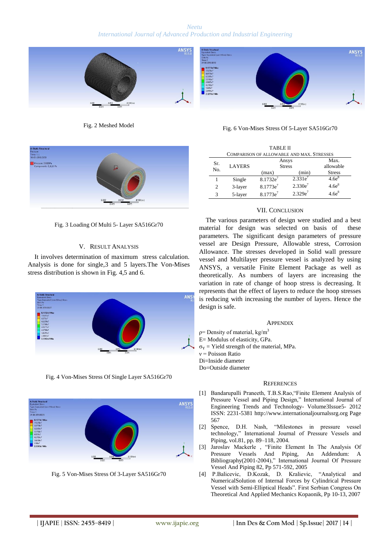## *Neetu International Journal of Advanced Production and Industrial Engineering*



Fig. 2 Meshed Model



Fig. 6 Von-Mises Stress Of 5-Layer SA516Gr70





### V. RESULT ANALYSIS

It involves determination of maximum stress calculation. Analysis is done for single,3 and 5 layers.The Von-Mises stress distribution is shown in Fig. 4,5 and 6.



Fig. 4 Von-Mises Stress Of Single Layer SA516Gr70



Fig. 5 Von-Mises Stress Of 3-Layer SA516Gr70

| <b>TABLE II</b><br>COMPARISON OF ALLOWABLE AND MAX. STRESSES |               |                                          |            |                                    |  |  |  |
|--------------------------------------------------------------|---------------|------------------------------------------|------------|------------------------------------|--|--|--|
| Sr.<br>No.                                                   | <b>LAYERS</b> | Ansys<br><b>Stress</b><br>(min)<br>(max) |            | Max.<br>allowable<br><b>Stress</b> |  |  |  |
|                                                              | Single        | $8.1732e^7$                              | 2.331e'    | 4.6e <sup>8</sup>                  |  |  |  |
| $\overline{c}$                                               | 3-layer       | $8.1773e^7$                              | $2.330e^7$ | 4.6e <sup>8</sup>                  |  |  |  |
| 3                                                            | 5-layer       | $8.1773e^7$                              | $2.329e^7$ | 4.6e <sup>8</sup>                  |  |  |  |

#### VII. CONCLUSION

The various parameters of design were studied and a best material for design was selected on basis of these parameters. The significant design parameters of pressure vessel are Design Pressure, Allowable stress, Corrosion Allowance. The stresses developed in Solid wall pressure vessel and Multilayer pressure vessel is analyzed by using ANSYS, a versatile Finite Element Package as well as theoretically. As numbers of layers are increasing the variation in rate of change of hoop stress is decreasing. It represents that the effect of layers to reduce the hoop stresses is reducing with increasing the number of layers. Hence the design is safe.

#### **APPENDIX**

- $ρ = Density of material, kg/m<sup>3</sup>$
- E= Modulus of elasticity, GPa.
- $\sigma_Y$  = Yield strength of the material, MPa.

ν = Poisson Ratio

Di=Inside diameter

Do=Outside diameter

#### **REFERENCES**

- [1] Bandarupalli Praneeth, T.B.S.Rao,"Finite Element Analysis of Pressure Vessel and Piping Design," International Journal of Engineering Trends and Technology- Volume3Issue5- 2012 ISSN: 2231-5381 http://www.internationaljournalssrg.org Page 567
- [2] Spence, D.H. Nash, "Milestones in pressure vessel technology," International Journal of Pressure Vessels and Piping, vol.81, pp. 89–118, 2004.
- [3] Jaroslav Mackerle , "Finite Element In The Analysis Of Pressure Vessels And Piping, An Addendum: A Bibliography(2001-2004)," International Journal Of Pressure Vessel And Piping 82, Pp 571-592, 2005
- [4] P.Balicevic, D.Kozak, D. Kralievic, "Analytical and NumericalSolution of Internal Forces by Cylindrical Pressure Vessel with Semi-Elliptical Heads". First Serbian Congress On Theoretical And Applied Mechanics Kopaonik, Pp 10-13, 2007